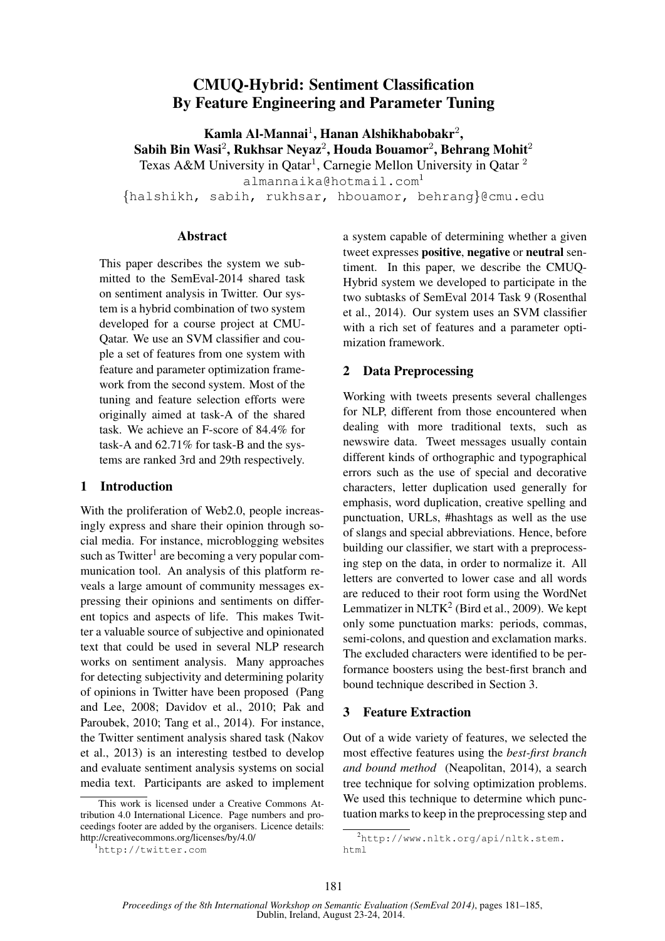# CMUQ-Hybrid: Sentiment Classification By Feature Engineering and Parameter Tuning

Kamla Al-Mannai<sup>1</sup>, Hanan Alshikhabobakr<sup>2</sup>, Sabih Bin Wasi $^2$ , Rukhsar Neyaz $^2$ , Houda Bouamor $^2$ , Behrang Mohit $^2$ Texas A&M University in Qatar<sup>1</sup>, Carnegie Mellon University in Qatar<sup>2</sup> almannaika@hotmail.com<sup>1</sup> {halshikh, sabih, rukhsar, hbouamor, behrang}@cmu.edu

#### Abstract

This paper describes the system we submitted to the SemEval-2014 shared task on sentiment analysis in Twitter. Our system is a hybrid combination of two system developed for a course project at CMU-Qatar. We use an SVM classifier and couple a set of features from one system with feature and parameter optimization framework from the second system. Most of the tuning and feature selection efforts were originally aimed at task-A of the shared task. We achieve an F-score of 84.4% for task-A and 62.71% for task-B and the systems are ranked 3rd and 29th respectively.

### 1 Introduction

With the proliferation of Web2.0, people increasingly express and share their opinion through social media. For instance, microblogging websites such as Twitter<sup>1</sup> are becoming a very popular communication tool. An analysis of this platform reveals a large amount of community messages expressing their opinions and sentiments on different topics and aspects of life. This makes Twitter a valuable source of subjective and opinionated text that could be used in several NLP research works on sentiment analysis. Many approaches for detecting subjectivity and determining polarity of opinions in Twitter have been proposed (Pang and Lee, 2008; Davidov et al., 2010; Pak and Paroubek, 2010; Tang et al., 2014). For instance, the Twitter sentiment analysis shared task (Nakov et al., 2013) is an interesting testbed to develop and evaluate sentiment analysis systems on social media text. Participants are asked to implement a system capable of determining whether a given tweet expresses positive, negative or neutral sentiment. In this paper, we describe the CMUQ-Hybrid system we developed to participate in the two subtasks of SemEval 2014 Task 9 (Rosenthal et al., 2014). Our system uses an SVM classifier with a rich set of features and a parameter optimization framework.

## 2 Data Preprocessing

Working with tweets presents several challenges for NLP, different from those encountered when dealing with more traditional texts, such as newswire data. Tweet messages usually contain different kinds of orthographic and typographical errors such as the use of special and decorative characters, letter duplication used generally for emphasis, word duplication, creative spelling and punctuation, URLs, #hashtags as well as the use of slangs and special abbreviations. Hence, before building our classifier, we start with a preprocessing step on the data, in order to normalize it. All letters are converted to lower case and all words are reduced to their root form using the WordNet Lemmatizer in  $NLTK<sup>2</sup>$  (Bird et al., 2009). We kept only some punctuation marks: periods, commas, semi-colons, and question and exclamation marks. The excluded characters were identified to be performance boosters using the best-first branch and bound technique described in Section 3.

## 3 Feature Extraction

Out of a wide variety of features, we selected the most effective features using the *best-first branch and bound method* (Neapolitan, 2014), a search tree technique for solving optimization problems. We used this technique to determine which punctuation marks to keep in the preprocessing step and

This work is licensed under a Creative Commons Attribution 4.0 International Licence. Page numbers and proceedings footer are added by the organisers. Licence details: http://creativecommons.org/licenses/by/4.0/

<sup>1</sup>http://twitter.com

<sup>2</sup>http://www.nltk.org/api/nltk.stem. html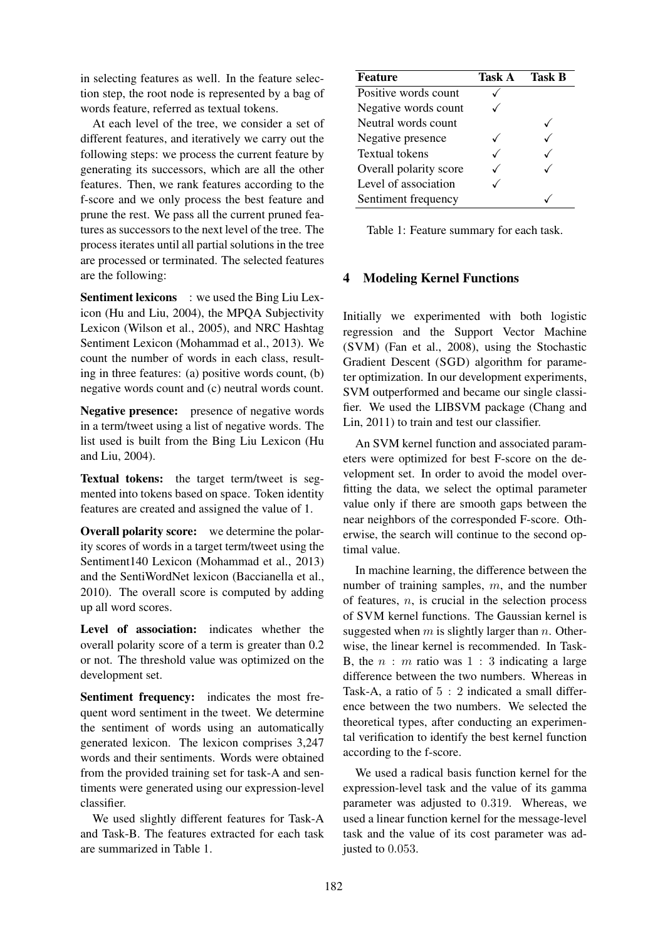in selecting features as well. In the feature selection step, the root node is represented by a bag of words feature, referred as textual tokens.

At each level of the tree, we consider a set of different features, and iteratively we carry out the following steps: we process the current feature by generating its successors, which are all the other features. Then, we rank features according to the f-score and we only process the best feature and prune the rest. We pass all the current pruned features as successors to the next level of the tree. The process iterates until all partial solutions in the tree are processed or terminated. The selected features are the following:

Sentiment lexicons : we used the Bing Liu Lexicon (Hu and Liu, 2004), the MPQA Subjectivity Lexicon (Wilson et al., 2005), and NRC Hashtag Sentiment Lexicon (Mohammad et al., 2013). We count the number of words in each class, resulting in three features: (a) positive words count, (b) negative words count and (c) neutral words count.

Negative presence: presence of negative words in a term/tweet using a list of negative words. The list used is built from the Bing Liu Lexicon (Hu and Liu, 2004).

Textual tokens: the target term/tweet is segmented into tokens based on space. Token identity features are created and assigned the value of 1.

Overall polarity score: we determine the polarity scores of words in a target term/tweet using the Sentiment140 Lexicon (Mohammad et al., 2013) and the SentiWordNet lexicon (Baccianella et al., 2010). The overall score is computed by adding up all word scores.

Level of association: indicates whether the overall polarity score of a term is greater than 0.2 or not. The threshold value was optimized on the development set.

Sentiment frequency: indicates the most frequent word sentiment in the tweet. We determine the sentiment of words using an automatically generated lexicon. The lexicon comprises 3,247 words and their sentiments. Words were obtained from the provided training set for task-A and sentiments were generated using our expression-level classifier.

We used slightly different features for Task-A and Task-B. The features extracted for each task are summarized in Table 1.

| <b>Feature</b>         | <b>Task A</b> | <b>Task B</b> |
|------------------------|---------------|---------------|
| Positive words count   |               |               |
| Negative words count   |               |               |
| Neutral words count    |               |               |
| Negative presence      |               |               |
| <b>Textual tokens</b>  |               |               |
| Overall polarity score |               |               |
| Level of association   |               |               |
| Sentiment frequency    |               |               |

Table 1: Feature summary for each task.

## 4 Modeling Kernel Functions

Initially we experimented with both logistic regression and the Support Vector Machine (SVM) (Fan et al., 2008), using the Stochastic Gradient Descent (SGD) algorithm for parameter optimization. In our development experiments, SVM outperformed and became our single classifier. We used the LIBSVM package (Chang and Lin, 2011) to train and test our classifier.

An SVM kernel function and associated parameters were optimized for best F-score on the development set. In order to avoid the model overfitting the data, we select the optimal parameter value only if there are smooth gaps between the near neighbors of the corresponded F-score. Otherwise, the search will continue to the second optimal value.

In machine learning, the difference between the number of training samples,  $m$ , and the number of features,  $n$ , is crucial in the selection process of SVM kernel functions. The Gaussian kernel is suggested when  $m$  is slightly larger than  $n$ . Otherwise, the linear kernel is recommended. In Task-B, the  $n : m$  ratio was  $1 : 3$  indicating a large difference between the two numbers. Whereas in Task-A, a ratio of 5 : 2 indicated a small difference between the two numbers. We selected the theoretical types, after conducting an experimental verification to identify the best kernel function according to the f-score.

We used a radical basis function kernel for the expression-level task and the value of its gamma parameter was adjusted to 0.319. Whereas, we used a linear function kernel for the message-level task and the value of its cost parameter was adjusted to 0.053.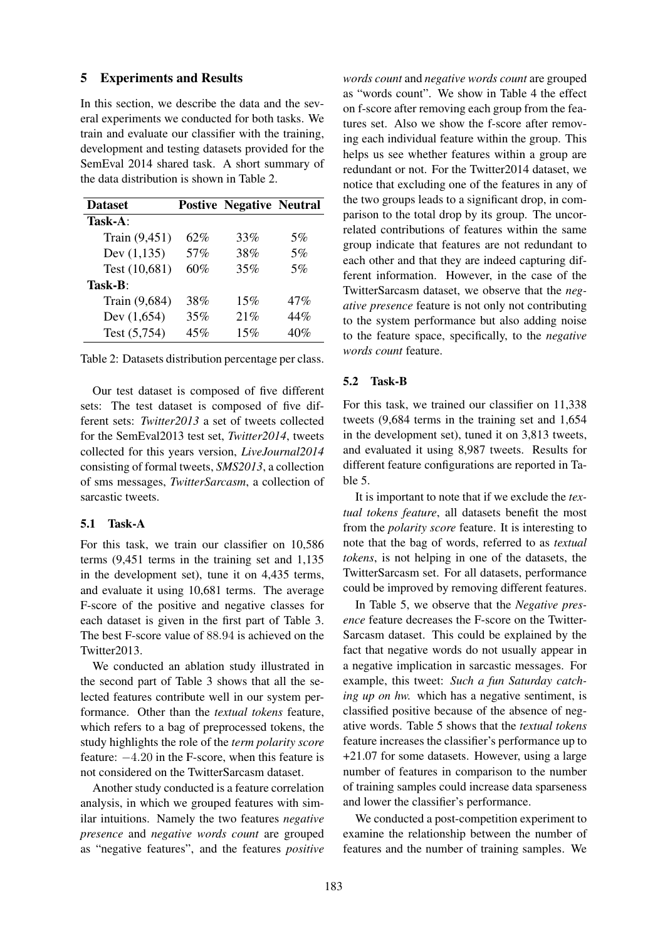#### 5 Experiments and Results

In this section, we describe the data and the several experiments we conducted for both tasks. We train and evaluate our classifier with the training, development and testing datasets provided for the SemEval 2014 shared task. A short summary of the data distribution is shown in Table 2.

| <b>Dataset</b> |     | <b>Postive Negative Neutral</b> |       |
|----------------|-----|---------------------------------|-------|
| Task-A:        |     |                                 |       |
| Train (9,451)  | 62% | 33%                             | $5\%$ |
| Dev $(1, 135)$ | 57% | 38%                             | 5%    |
| Test (10,681)  | 60% | 35%                             | 5%    |
| Task-B:        |     |                                 |       |
| Train (9,684)  | 38% | $15\%$                          | 47%   |
| Dev $(1,654)$  | 35% | 21%                             | 44%   |
| Test (5,754)   | 45% | 15%                             | 40%   |

Table 2: Datasets distribution percentage per class.

Our test dataset is composed of five different sets: The test dataset is composed of five different sets: *Twitter2013* a set of tweets collected for the SemEval2013 test set, *Twitter2014*, tweets collected for this years version, *LiveJournal2014* consisting of formal tweets, *SMS2013*, a collection of sms messages, *TwitterSarcasm*, a collection of sarcastic tweets.

#### 5.1 Task-A

For this task, we train our classifier on 10,586 terms (9,451 terms in the training set and 1,135 in the development set), tune it on 4,435 terms, and evaluate it using 10,681 terms. The average F-score of the positive and negative classes for each dataset is given in the first part of Table 3. The best F-score value of 88.94 is achieved on the Twitter2013.

We conducted an ablation study illustrated in the second part of Table 3 shows that all the selected features contribute well in our system performance. Other than the *textual tokens* feature, which refers to a bag of preprocessed tokens, the study highlights the role of the *term polarity score* feature: −4.20 in the F-score, when this feature is not considered on the TwitterSarcasm dataset.

Another study conducted is a feature correlation analysis, in which we grouped features with similar intuitions. Namely the two features *negative presence* and *negative words count* are grouped as "negative features", and the features *positive*

*words count* and *negative words count* are grouped as "words count". We show in Table 4 the effect on f-score after removing each group from the features set. Also we show the f-score after removing each individual feature within the group. This helps us see whether features within a group are redundant or not. For the Twitter2014 dataset, we notice that excluding one of the features in any of the two groups leads to a significant drop, in comparison to the total drop by its group. The uncorrelated contributions of features within the same group indicate that features are not redundant to each other and that they are indeed capturing different information. However, in the case of the TwitterSarcasm dataset, we observe that the *negative presence* feature is not only not contributing to the system performance but also adding noise to the feature space, specifically, to the *negative words count* feature.

#### 5.2 Task-B

For this task, we trained our classifier on 11,338 tweets (9,684 terms in the training set and 1,654 in the development set), tuned it on 3,813 tweets, and evaluated it using 8,987 tweets. Results for different feature configurations are reported in Table 5.

It is important to note that if we exclude the *textual tokens feature*, all datasets benefit the most from the *polarity score* feature. It is interesting to note that the bag of words, referred to as *textual tokens*, is not helping in one of the datasets, the TwitterSarcasm set. For all datasets, performance could be improved by removing different features.

In Table 5, we observe that the *Negative presence* feature decreases the F-score on the Twitter-Sarcasm dataset. This could be explained by the fact that negative words do not usually appear in a negative implication in sarcastic messages. For example, this tweet: *Such a fun Saturday catching up on hw.* which has a negative sentiment, is classified positive because of the absence of negative words. Table 5 shows that the *textual tokens* feature increases the classifier's performance up to +21.07 for some datasets. However, using a large number of features in comparison to the number of training samples could increase data sparseness and lower the classifier's performance.

We conducted a post-competition experiment to examine the relationship between the number of features and the number of training samples. We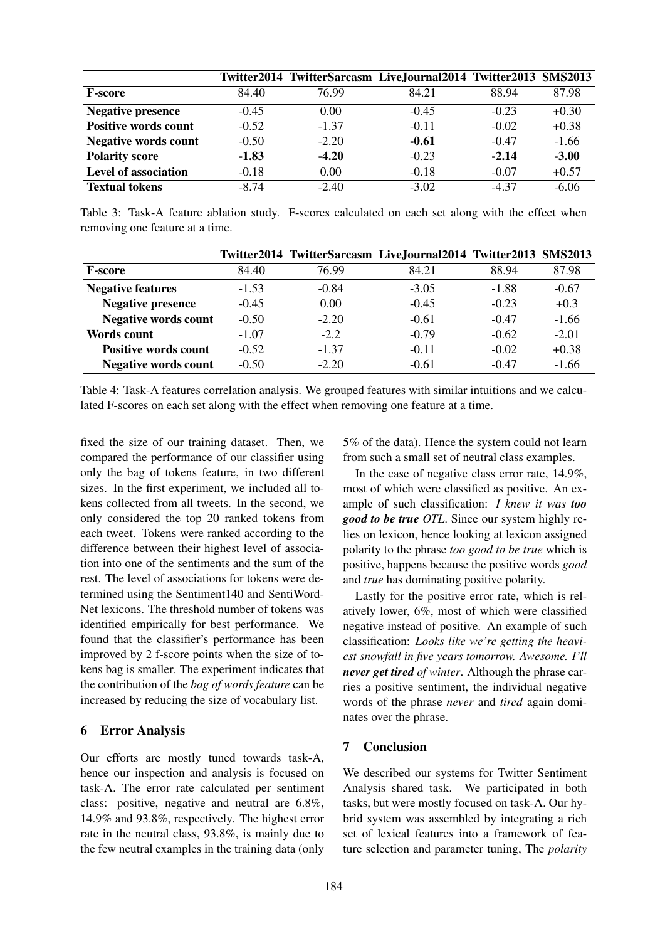|                             |         |         | Twitter2014 TwitterSarcasm LiveJournal2014 Twitter2013 SMS2013 |         |         |
|-----------------------------|---------|---------|----------------------------------------------------------------|---------|---------|
| <b>F-score</b>              | 84.40   | 76.99   | 84.21                                                          | 88.94   | 87.98   |
| <b>Negative presence</b>    | $-0.45$ | 0.00    | $-0.45$                                                        | $-0.23$ | $+0.30$ |
| <b>Positive words count</b> | $-0.52$ | $-1.37$ | $-0.11$                                                        | $-0.02$ | $+0.38$ |
| <b>Negative words count</b> | $-0.50$ | $-2.20$ | $-0.61$                                                        | $-0.47$ | $-1.66$ |
| <b>Polarity score</b>       | $-1.83$ | $-4.20$ | $-0.23$                                                        | $-2.14$ | $-3.00$ |
| Level of association        | $-0.18$ | 0.00    | $-0.18$                                                        | $-0.07$ | $+0.57$ |
| <b>Textual tokens</b>       | $-8.74$ | $-2.40$ | $-3.02$                                                        | $-4.37$ | $-6.06$ |

Table 3: Task-A feature ablation study. F-scores calculated on each set along with the effect when removing one feature at a time.

|                             |         |         | Twitter2014 TwitterSarcasm LiveJournal2014 Twitter2013 SMS2013 |         |         |
|-----------------------------|---------|---------|----------------------------------------------------------------|---------|---------|
| <b>F-score</b>              | 84.40   | 76.99   | 84.21                                                          | 88.94   | 87.98   |
| <b>Negative features</b>    | $-1.53$ | $-0.84$ | $-3.05$                                                        | $-1.88$ | $-0.67$ |
| <b>Negative presence</b>    | $-0.45$ | 0.00    | $-0.45$                                                        | $-0.23$ | $+0.3$  |
| <b>Negative words count</b> | $-0.50$ | $-2.20$ | $-0.61$                                                        | $-0.47$ | $-1.66$ |
| <b>Words count</b>          | $-1.07$ | $-2.2$  | $-0.79$                                                        | $-0.62$ | $-2.01$ |
| <b>Positive words count</b> | $-0.52$ | $-1.37$ | $-0.11$                                                        | $-0.02$ | $+0.38$ |
| <b>Negative words count</b> | $-0.50$ | $-2.20$ | $-0.61$                                                        | $-0.47$ | $-1.66$ |

Table 4: Task-A features correlation analysis. We grouped features with similar intuitions and we calculated F-scores on each set along with the effect when removing one feature at a time.

fixed the size of our training dataset. Then, we compared the performance of our classifier using only the bag of tokens feature, in two different sizes. In the first experiment, we included all tokens collected from all tweets. In the second, we only considered the top 20 ranked tokens from each tweet. Tokens were ranked according to the difference between their highest level of association into one of the sentiments and the sum of the rest. The level of associations for tokens were determined using the Sentiment140 and SentiWord-Net lexicons. The threshold number of tokens was identified empirically for best performance. We found that the classifier's performance has been improved by 2 f-score points when the size of tokens bag is smaller. The experiment indicates that the contribution of the *bag of words feature* can be increased by reducing the size of vocabulary list.

### 6 Error Analysis

Our efforts are mostly tuned towards task-A, hence our inspection and analysis is focused on task-A. The error rate calculated per sentiment class: positive, negative and neutral are 6.8%, 14.9% and 93.8%, respectively. The highest error rate in the neutral class, 93.8%, is mainly due to the few neutral examples in the training data (only

5% of the data). Hence the system could not learn from such a small set of neutral class examples.

In the case of negative class error rate, 14.9%, most of which were classified as positive. An example of such classification: *I knew it was too good to be true OTL*. Since our system highly relies on lexicon, hence looking at lexicon assigned polarity to the phrase *too good to be true* which is positive, happens because the positive words *good* and *true* has dominating positive polarity.

Lastly for the positive error rate, which is relatively lower, 6%, most of which were classified negative instead of positive. An example of such classification: *Looks like we're getting the heaviest snowfall in five years tomorrow. Awesome. I'll never get tired of winter*. Although the phrase carries a positive sentiment, the individual negative words of the phrase *never* and *tired* again dominates over the phrase.

## 7 Conclusion

We described our systems for Twitter Sentiment Analysis shared task. We participated in both tasks, but were mostly focused on task-A. Our hybrid system was assembled by integrating a rich set of lexical features into a framework of feature selection and parameter tuning, The *polarity*